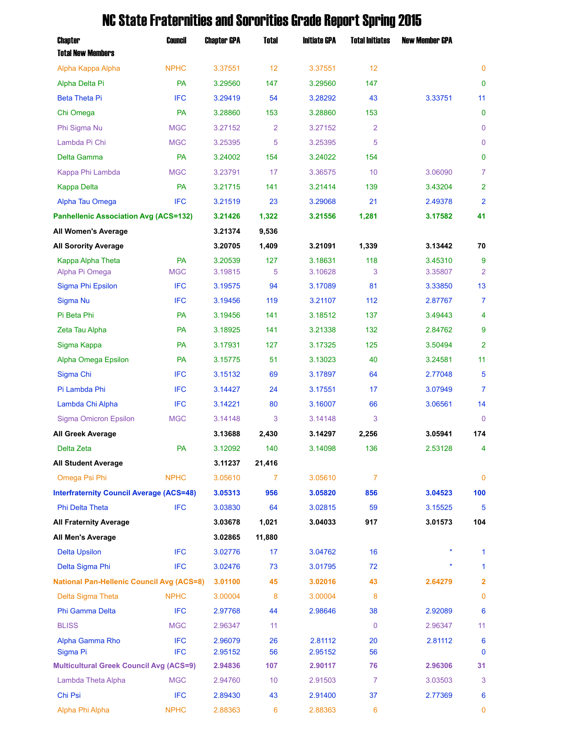## Chapter Council Chapter GPA Total Initiate GPA Total Initiates New Member GPA Total New Members Alpha Kappa Alpha NPHC 3.37551 12 3.37551 12 0 Alpha Delta Pi PA 3.29560 147 3.29560 147 0 Beta Theta Pi IFC 3.29419 54 3.28292 43 3.33751 11 Chi Omega PA 3.28860 153 3.28860 153 0 Phi Sigma Nu MGC 3.27152 2 3.27152 2 0 Lambda Pi Chi MGC 3.25395 5 3.25395 5 0 Delta Gamma PA 3.24002 154 3.24022 154 0 Kappa Phi Lambda MGC 3.23791 17 3.36575 10 3.06090 7 Kappa Delta PA 3.21715 141 3.21414 139 3.43204 2 Alpha Tau Omega IFC 3.21519 23 3.29068 21 2.49378 2 **Panhellenic Association Avg (ACS=132) 3.21426 1,322 3.21556 1,281 3.17582 41 All Women's Average 3.21374 9,536 All Sorority Average 3.20705 1,409 3.21091 1,339 3.13442 70** Kappa Alpha Theta PA 3.20539 127 3.18631 118 3.45310 9 Alpha Pi Omega MGC 3.19815 5 3.10628 3 3.35807 2 Sigma Phi Epsilon IFC 3.19575 94 3.17089 81 3.33850 13 Sigma Nu IFC 3.19456 119 3.21107 112 2.87767 7 Pi Beta Phi PA 3.19456 141 3.18512 137 3.49443 4 Zeta Tau Alpha PA 3.18925 141 3.21338 132 2.84762 9 Sigma Kappa PA 3.17931 127 3.17325 125 3.50494 2 Alpha Omega Epsilon PA 3.15775 51 3.13023 40 3.24581 11 Sigma Chi IFC 3.15132 69 3.17897 64 2.77048 5 Pi Lambda Phi IFC 3.14427 24 3.17551 17 3.07949 7 Lambda Chi Alpha IFC 3.14221 80 3.16007 66 3.06561 14 Sigma Omicron Epsilon MGC 3.14148 3 3.14148 3 0 **All Greek Average 3.13688 2,430 3.14297 2,256 3.05941 174** Delta Zeta PA 3.12092 140 3.14098 136 2.53128 4 **All Student Average 3.11237 21,416** Omega Psi Phi NPHC 3.05610 7 3.05610 7 0 **Interfraternity Council Average (ACS=48) 3.05313 956 3.05820 856 3.04523 100** Phi Delta Theta **IFC** 3.03830 64 3.02815 59 3.15525 5 **All Fraternity Average 3.03678 1,021 3.04033 917 3.01573 104 All Men's Average 3.02865 11,880** Delta Upsilon IFC 3.02776 17 3.04762 16 \* 1 Delta Sigma Phi IFC 3.02476 73 3.01795 72 \* 1 **National Pan-Hellenic Council Avg (ACS=8) 3.01100 45 3.02016 43 2.64279 2** Delta Sigma Theta NPHC 3.00004 8 3.00004 8 0 Phi Gamma Delta IFC 2.97768 44 2.98646 38 2.92089 6 BLISS MGC 2.96347 11 0 2.96347 11 Alpha Gamma Rho IFC 2.96079 26 2.81112 20 2.81112 6 Sigma Pi IFC 2.95152 56 2.95152 56 0 **Multicultural Greek Council Avg (ACS=9) 2.94836 107 2.90117 76 2.96306 31** Lambda Theta Alpha MGC 2.94760 10 2.91503 7 3.03503 3

Chi Psi IFC 2.89430 43 2.91400 37 2.77369 6 Alpha Phi Alpha NPHC 2.88363 6 2.88363 6 0

## NC State Fraternities and Sororities Grade Report Spring 2015